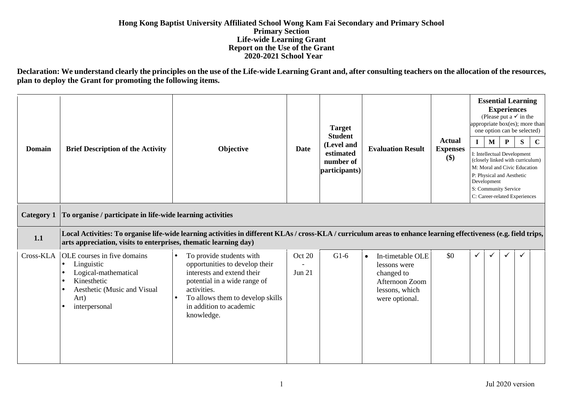## **Hong Kong Baptist University Affiliated School Wong Kam Fai Secondary and Primary School Primary Section Life-wide Learning Grant Report on the Use of the Grant 2020-2021 School Year**

**Declaration: We understand clearly the principles on the use of the Life-wide Learning Grant and, after consulting teachers on the allocation of the resources, plan to deploy the Grant for promoting the following items.**

| <b>Domain</b>     | <b>Brief Description of the Activity</b>                                                                                                                                                          | Objective                                                                                                                                                                                                                                      | Date               | <b>Target</b><br><b>Student</b><br>(Level and<br>estimated<br>number of<br>participants) | <b>Evaluation Result</b>                                                                                          | <b>Actual</b><br><b>Expenses</b><br>\$) | $\mathbf{I}$ | <b>Essential Learning</b><br>(Please put a $\checkmark$ in the<br>appropriate box(es); more than<br>one option can be selected)<br>$\mathbf{M}$<br>I: Intellectual Development<br>(closely linked with curriculum)<br>M: Moral and Civic Education<br>P: Physical and Aesthetic<br>Development<br>S: Community Service<br>C: Career-related Experiences | <b>Experiences</b><br>${\bf P}$ | S | $\mathbf C$ |
|-------------------|---------------------------------------------------------------------------------------------------------------------------------------------------------------------------------------------------|------------------------------------------------------------------------------------------------------------------------------------------------------------------------------------------------------------------------------------------------|--------------------|------------------------------------------------------------------------------------------|-------------------------------------------------------------------------------------------------------------------|-----------------------------------------|--------------|---------------------------------------------------------------------------------------------------------------------------------------------------------------------------------------------------------------------------------------------------------------------------------------------------------------------------------------------------------|---------------------------------|---|-------------|
| <b>Category 1</b> | To organise / participate in life-wide learning activities                                                                                                                                        |                                                                                                                                                                                                                                                |                    |                                                                                          |                                                                                                                   |                                         |              |                                                                                                                                                                                                                                                                                                                                                         |                                 |   |             |
| 1.1               | arts appreciation, visits to enterprises, thematic learning day)                                                                                                                                  | Local Activities: To organise life-wide learning activities in different KLAs / cross-KLA / curriculum areas to enhance learning effectiveness (e.g. field trips,                                                                              |                    |                                                                                          |                                                                                                                   |                                         |              |                                                                                                                                                                                                                                                                                                                                                         |                                 |   |             |
| Cross-KLA         | OLE courses in five domains<br>Linguistic<br>$\bullet$<br>Logical-mathematical<br>$\bullet$<br>Kinesthetic<br>$\bullet$<br>Aesthetic (Music and Visual<br>$\bullet$<br>Art)<br>interpersonal<br>٠ | To provide students with<br>$\bullet$<br>opportunities to develop their<br>interests and extend their<br>potential in a wide range of<br>activities.<br>To allows them to develop skills<br>$\bullet$<br>in addition to academic<br>knowledge. | Oct 20<br>Jun $21$ | $G1-6$                                                                                   | In-timetable OLE<br>$\bullet$<br>lessons were<br>changed to<br>Afternoon Zoom<br>lessons, which<br>were optional. | \$0                                     | ✓            | ✓                                                                                                                                                                                                                                                                                                                                                       | ✓                               |   |             |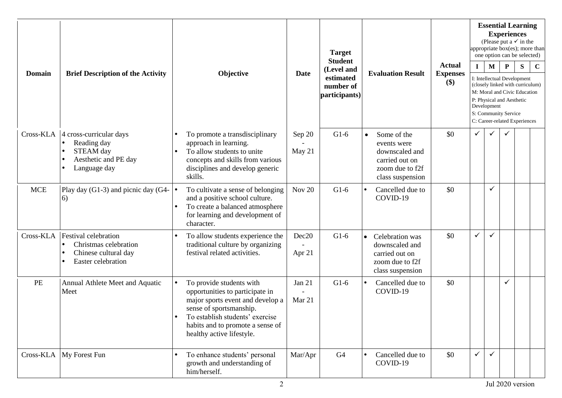|               |                                                                                                                                           |                                                                                                                                                                                                                                             | <b>Target</b><br><b>Student</b>                               |                |                                                                                                                    | <b>Essential Learning</b><br><b>Experiences</b><br>(Please put a $\checkmark$ in the<br>appropriate box(es); more than<br>one option can be selected)<br>$\mathbf C$ |                                  |                                                                                                                                                                               |                                                       |  |  |  |  |
|---------------|-------------------------------------------------------------------------------------------------------------------------------------------|---------------------------------------------------------------------------------------------------------------------------------------------------------------------------------------------------------------------------------------------|---------------------------------------------------------------|----------------|--------------------------------------------------------------------------------------------------------------------|----------------------------------------------------------------------------------------------------------------------------------------------------------------------|----------------------------------|-------------------------------------------------------------------------------------------------------------------------------------------------------------------------------|-------------------------------------------------------|--|--|--|--|
| <b>Domain</b> | <b>Brief Description of the Activity</b>                                                                                                  | Objective                                                                                                                                                                                                                                   | (Level and<br>Date<br>estimated<br>number of<br>participants) |                | <b>Evaluation Result</b><br>\$)                                                                                    |                                                                                                                                                                      | <b>Actual</b><br><b>Expenses</b> | P<br>${\bf S}$<br>$\mathbf I$<br>$\mathbf{M}$<br>I: Intellectual Development<br>(closely linked with curriculum)<br>M: Moral and Civic Education<br>P: Physical and Aesthetic |                                                       |  |  |  |  |
|               |                                                                                                                                           |                                                                                                                                                                                                                                             |                                                               |                |                                                                                                                    |                                                                                                                                                                      |                                  | Development                                                                                                                                                                   | S: Community Service<br>C: Career-related Experiences |  |  |  |  |
| Cross-KLA     | 4 cross-curricular days<br>Reading day<br>$\bullet$<br>STEAM day<br>Aesthetic and PE day<br>$\bullet$<br>Language day<br>$\bullet$        | To promote a transdisciplinary<br>approach in learning.<br>To allow students to unite<br>$\bullet$<br>concepts and skills from various<br>disciplines and develop generic<br>skills.                                                        | Sep 20<br>May 21                                              | $G1-6$         | Some of the<br>$\bullet$<br>events were<br>downscaled and<br>carried out on<br>zoom due to f2f<br>class suspension | \$0                                                                                                                                                                  | ✓                                |                                                                                                                                                                               |                                                       |  |  |  |  |
| <b>MCE</b>    | Play day (G1-3) and picnic day (G4- $\vert \bullet \vert$<br>6)                                                                           | To cultivate a sense of belonging<br>and a positive school culture.<br>To create a balanced atmosphere<br>$\bullet$<br>for learning and development of<br>character.                                                                        | <b>Nov 20</b>                                                 | $G1-6$         | Cancelled due to<br>COVID-19                                                                                       | \$0                                                                                                                                                                  |                                  | $\checkmark$                                                                                                                                                                  |                                                       |  |  |  |  |
| Cross-KLA     | <b>Festival celebration</b><br>Christmas celebration<br>$\bullet$<br>Chinese cultural day<br>$\bullet$<br>Easter celebration<br>$\bullet$ | To allow students experience the<br>traditional culture by organizing<br>festival related activities.                                                                                                                                       | Dec20<br>Apr 21                                               | $G1-6$         | Celebration was<br>$\bullet$<br>downscaled and<br>carried out on<br>zoom due to f2f<br>class suspension            | \$0                                                                                                                                                                  | ✓                                | ✓                                                                                                                                                                             |                                                       |  |  |  |  |
| PE            | Annual Athlete Meet and Aquatic<br>Meet                                                                                                   | To provide students with<br>$\bullet$<br>opportunities to participate in<br>major sports event and develop a<br>sense of sportsmanship.<br>To establish students' exercise<br>habits and to promote a sense of<br>healthy active lifestyle. | Jan 21<br>Mar 21                                              | $G1-6$         | Cancelled due to<br>COVID-19                                                                                       | \$0                                                                                                                                                                  |                                  |                                                                                                                                                                               | $\checkmark$                                          |  |  |  |  |
|               | Cross-KLA My Forest Fun                                                                                                                   | To enhance students' personal<br>growth and understanding of<br>him/herself.                                                                                                                                                                | Mar/Apr                                                       | G <sub>4</sub> | Cancelled due to<br>COVID-19                                                                                       | \$0                                                                                                                                                                  | $\checkmark$                     | $\checkmark$                                                                                                                                                                  |                                                       |  |  |  |  |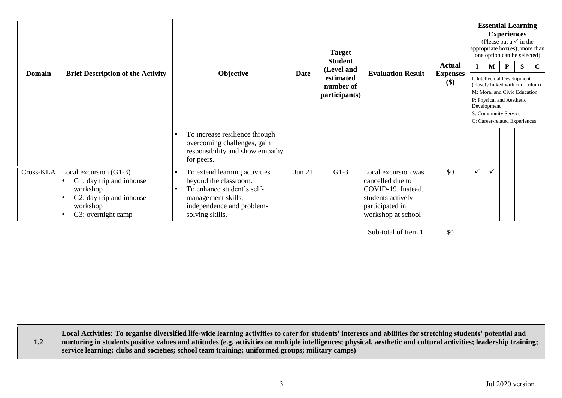| <b>Domain</b> | <b>Brief Description of the Activity</b>                                                                                                                             | Objective                                                                                                                                                                            | <b>Date</b>   | <b>Target</b><br><b>Student</b><br>(Level and<br>estimated<br>number of<br>participants) | <b>Evaluation Result</b>                                                                                                    | <b>Actual</b><br><b>Expenses</b><br>\$) | $\mathbf{I}$<br>Development | $\mathbf M$  | <b>Essential Learning</b><br><b>Experiences</b><br>(Please put a $\checkmark$ in the<br>appropriate box(es); more than<br>one option can be selected)<br>$\mathbf{P}$<br>I: Intellectual Development<br>(closely linked with curriculum)<br>M: Moral and Civic Education<br>P: Physical and Aesthetic<br>S: Community Service<br>C: Career-related Experiences | S | C |
|---------------|----------------------------------------------------------------------------------------------------------------------------------------------------------------------|--------------------------------------------------------------------------------------------------------------------------------------------------------------------------------------|---------------|------------------------------------------------------------------------------------------|-----------------------------------------------------------------------------------------------------------------------------|-----------------------------------------|-----------------------------|--------------|----------------------------------------------------------------------------------------------------------------------------------------------------------------------------------------------------------------------------------------------------------------------------------------------------------------------------------------------------------------|---|---|
|               |                                                                                                                                                                      | To increase resilience through<br>$\bullet$<br>overcoming challenges, gain<br>responsibility and show empathy<br>for peers.                                                          |               |                                                                                          |                                                                                                                             |                                         |                             |              |                                                                                                                                                                                                                                                                                                                                                                |   |   |
|               | $Cross-KLA$ $Local excursion (G1-3)$<br>G1: day trip and inhouse<br>$\bullet$<br>workshop<br>G2: day trip and inhouse<br>workshop<br>G3: overnight camp<br>$\bullet$ | To extend learning activities<br>$\bullet$<br>beyond the classroom.<br>To enhance student's self-<br>$\bullet$<br>management skills,<br>independence and problem-<br>solving skills. | <b>Jun 21</b> | $G1-3$                                                                                   | Local excursion was<br>cancelled due to<br>COVID-19. Instead,<br>students actively<br>participated in<br>workshop at school | \$0                                     | $\checkmark$                | $\checkmark$ |                                                                                                                                                                                                                                                                                                                                                                |   |   |
|               |                                                                                                                                                                      |                                                                                                                                                                                      |               |                                                                                          | Sub-total of Item 1.1                                                                                                       | \$0                                     |                             |              |                                                                                                                                                                                                                                                                                                                                                                |   |   |

**1.2 Local Activities: To organise diversified life-wide learning activities to cater for students' interests and abilities for stretching students' potential and nurturing in students positive values and attitudes (e.g. activities on multiple intelligences; physical, aesthetic and cultural activities; leadership training; service learning; clubs and societies; school team training; uniformed groups; military camps)**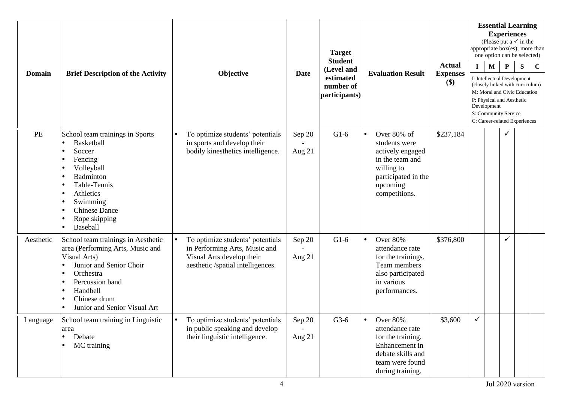| <b>Domain</b> | <b>Brief Description of the Activity</b>                                                                                                                                                                                                                                  | Objective                                                                                                                           | Date               | <b>Target</b><br><b>Student</b><br>(Level and<br>estimated<br>number of<br>participants) | <b>Evaluation Result</b>                                                                                                              | <b>Actual</b><br><b>Expenses</b><br>$(\$)$ | appropriate box(es); more than<br>$\mathbf{I}$<br>I: Intellectual Development<br>(closely linked with curriculum)<br>M: Moral and Civic Education<br>P: Physical and Aesthetic<br>Development<br>S: Community Service<br>C: Career-related Experiences | $\mathbf{M}$ | <b>Essential Learning</b><br><b>Experiences</b><br>(Please put a $\checkmark$ in the<br>one option can be selected)<br>${\bf P}$ | S | $\mathbf C$ |
|---------------|---------------------------------------------------------------------------------------------------------------------------------------------------------------------------------------------------------------------------------------------------------------------------|-------------------------------------------------------------------------------------------------------------------------------------|--------------------|------------------------------------------------------------------------------------------|---------------------------------------------------------------------------------------------------------------------------------------|--------------------------------------------|--------------------------------------------------------------------------------------------------------------------------------------------------------------------------------------------------------------------------------------------------------|--------------|----------------------------------------------------------------------------------------------------------------------------------|---|-------------|
| PE            | School team trainings in Sports<br>Basketball<br>$\bullet$<br>Soccer<br>$\bullet$<br>Fencing<br>Volleyball<br>Badminton<br>$\bullet$<br>Table-Tennis<br>Athletics<br>$\bullet$<br>Swimming<br><b>Chinese Dance</b><br>$\bullet$<br>Rope skipping<br>Baseball<br>$\bullet$ | To optimize students' potentials<br>in sports and develop their<br>bodily kinesthetics intelligence.                                | Sep 20<br>Aug 21   | $G1-6$                                                                                   | Over 80% of<br>students were<br>actively engaged<br>in the team and<br>willing to<br>participated in the<br>upcoming<br>competitions. | \$237,184                                  |                                                                                                                                                                                                                                                        |              |                                                                                                                                  |   |             |
| Aesthetic     | School team trainings in Aesthetic<br>area (Performing Arts, Music and<br>Visual Arts)<br>Junior and Senior Choir<br>$\bullet$<br>Orchestra<br>$\bullet$<br>Percussion band<br>Handbell<br>٠<br>Chinese drum<br>٠<br>Junior and Senior Visual Art<br>$\bullet$            | To optimize students' potentials<br>in Performing Arts, Music and<br>Visual Arts develop their<br>aesthetic /spatial intelligences. | Sep 20<br>Aug $21$ | $G1-6$                                                                                   | Over 80%<br>attendance rate<br>for the trainings.<br>Team members<br>also participated<br>in various<br>performances.                 | \$376,800                                  |                                                                                                                                                                                                                                                        |              | ✓                                                                                                                                |   |             |
| Language      | School team training in Linguistic<br>area<br>$\bullet$<br>Debate<br>MC training                                                                                                                                                                                          | To optimize students' potentials<br>$\bullet$<br>in public speaking and develop<br>their linguistic intelligence.                   | Sep 20<br>Aug 21   | $G3-6$                                                                                   | Over 80%<br>attendance rate<br>for the training.<br>Enhancement in<br>debate skills and<br>team were found<br>during training.        | \$3,600                                    | ✓                                                                                                                                                                                                                                                      |              |                                                                                                                                  |   |             |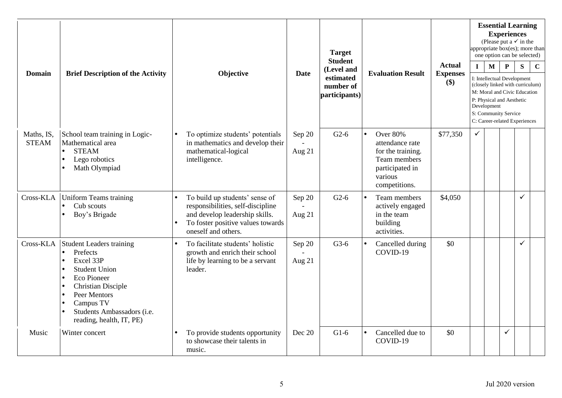| <b>Domain</b>              | <b>Brief Description of the Activity</b>                                                                                                                                                                                                                     | Objective                                                                                                                                                                      | <b>Date</b>      | <b>Target</b><br><b>Student</b><br>(Level and<br>estimated<br>number of<br>participants) | <b>Evaluation Result</b>                                                                                                            | <b>Actual</b><br><b>Expenses</b><br>\$) | appropriate box(es); more than<br>$\mathbf{I}$<br>S: Community Service | $\mathbf{M}$<br>Development | <b>Experiences</b><br>$\mathbf{P}$<br>P: Physical and Aesthetic | <b>Essential Learning</b><br>(Please put a $\checkmark$ in the<br>one option can be selected)<br>S<br>I: Intellectual Development<br>(closely linked with curriculum)<br>M: Moral and Civic Education<br>C: Career-related Experiences | $\mathbf C$ |
|----------------------------|--------------------------------------------------------------------------------------------------------------------------------------------------------------------------------------------------------------------------------------------------------------|--------------------------------------------------------------------------------------------------------------------------------------------------------------------------------|------------------|------------------------------------------------------------------------------------------|-------------------------------------------------------------------------------------------------------------------------------------|-----------------------------------------|------------------------------------------------------------------------|-----------------------------|-----------------------------------------------------------------|----------------------------------------------------------------------------------------------------------------------------------------------------------------------------------------------------------------------------------------|-------------|
| Maths, IS.<br><b>STEAM</b> | School team training in Logic-<br>Mathematical area<br><b>STEAM</b><br>$\bullet$<br>Lego robotics<br>٠<br>Math Olympiad                                                                                                                                      | To optimize students' potentials<br>in mathematics and develop their<br>mathematical-logical<br>intelligence.                                                                  | Sep 20<br>Aug 21 | $G2-6$                                                                                   | <b>Over 80%</b><br>$\bullet$<br>attendance rate<br>for the training.<br>Team members<br>participated in<br>various<br>competitions. | \$77,350                                | $\checkmark$                                                           |                             |                                                                 |                                                                                                                                                                                                                                        |             |
| Cross-KLA                  | <b>Uniform Teams training</b><br>Cub scouts<br>$\bullet$<br>Boy's Brigade                                                                                                                                                                                    | To build up students' sense of<br>$\bullet$<br>responsibilities, self-discipline<br>and develop leadership skills.<br>To foster positive values towards<br>oneself and others. | Sep 20<br>Aug 21 | $G2-6$                                                                                   | Team members<br>actively engaged<br>in the team<br>building<br>activities.                                                          | \$4,050                                 |                                                                        |                             |                                                                 | $\checkmark$                                                                                                                                                                                                                           |             |
|                            | Cross-KLA Student Leaders training<br>Prefects<br>$\bullet$<br>Excel 33P<br><b>Student Union</b><br><b>Eco Pioneer</b><br>٠<br><b>Christian Disciple</b><br>Peer Mentors<br>Campus TV<br>Students Ambassadors (i.e.<br>$\bullet$<br>reading, health, IT, PE) | To facilitate students' holistic<br>$\bullet$<br>growth and enrich their school<br>life by learning to be a servant<br>leader.                                                 | Sep 20<br>Aug 21 | $G3-6$                                                                                   | Cancelled during<br>COVID-19                                                                                                        | \$0                                     |                                                                        |                             |                                                                 | $\checkmark$                                                                                                                                                                                                                           |             |
| Music                      | Winter concert                                                                                                                                                                                                                                               | To provide students opportunity<br>$\bullet$<br>to showcase their talents in<br>music.                                                                                         | Dec 20           | $G1-6$                                                                                   | Cancelled due to<br>COVID-19                                                                                                        | \$0                                     |                                                                        |                             | $\checkmark$                                                    |                                                                                                                                                                                                                                        |             |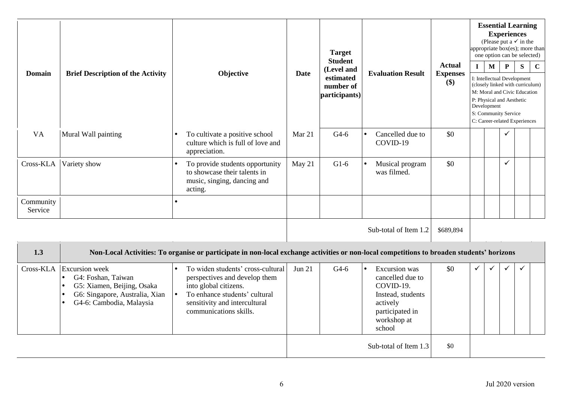|                      |                                                                                                                                                                                             |                                                                                                                                                                                                            |             | <b>Target</b><br><b>Student</b>         |                                                                                                                                                 |                                  | <b>Essential Learning</b><br><b>Experiences</b><br>(Please put a $\checkmark$ in the<br>appropriate box(es); more than<br>one option can be selected)                                                |              |              |   |             |  |  |  |
|----------------------|---------------------------------------------------------------------------------------------------------------------------------------------------------------------------------------------|------------------------------------------------------------------------------------------------------------------------------------------------------------------------------------------------------------|-------------|-----------------------------------------|-------------------------------------------------------------------------------------------------------------------------------------------------|----------------------------------|------------------------------------------------------------------------------------------------------------------------------------------------------------------------------------------------------|--------------|--------------|---|-------------|--|--|--|
| <b>Domain</b>        | <b>Brief Description of the Activity</b>                                                                                                                                                    | Objective                                                                                                                                                                                                  | <b>Date</b> | (Level and                              | <b>Evaluation Result</b>                                                                                                                        | <b>Actual</b><br><b>Expenses</b> | $\mathbf{I}$                                                                                                                                                                                         | $\mathbf{M}$ | $\mathbf{P}$ | S | $\mathbf C$ |  |  |  |
|                      |                                                                                                                                                                                             |                                                                                                                                                                                                            |             | estimated<br>number of<br>participants) |                                                                                                                                                 | \$)                              | I: Intellectual Development<br>(closely linked with curriculum)<br>M: Moral and Civic Education<br>P: Physical and Aesthetic<br>Development<br>S: Community Service<br>C: Career-related Experiences |              |              |   |             |  |  |  |
| <b>VA</b>            | Mural Wall painting                                                                                                                                                                         | To cultivate a positive school<br>culture which is full of love and<br>appreciation.                                                                                                                       | Mar 21      | $G4-6$                                  | Cancelled due to<br>COVID-19                                                                                                                    | \$0                              |                                                                                                                                                                                                      |              | $\checkmark$ |   |             |  |  |  |
| Cross-KLA            | Variety show                                                                                                                                                                                | To provide students opportunity<br>to showcase their talents in<br>music, singing, dancing and<br>acting.                                                                                                  | May 21      | $G1-6$                                  | Musical program<br>$\bullet$<br>was filmed.                                                                                                     | \$0                              |                                                                                                                                                                                                      |              | $\checkmark$ |   |             |  |  |  |
| Community<br>Service |                                                                                                                                                                                             | $\bullet$                                                                                                                                                                                                  |             |                                         |                                                                                                                                                 |                                  |                                                                                                                                                                                                      |              |              |   |             |  |  |  |
|                      |                                                                                                                                                                                             |                                                                                                                                                                                                            |             |                                         | Sub-total of Item 1.2                                                                                                                           | \$689,894                        |                                                                                                                                                                                                      |              |              |   |             |  |  |  |
| 1.3                  |                                                                                                                                                                                             | Non-Local Activities: To organise or participate in non-local exchange activities or non-local competitions to broaden students' horizons                                                                  |             |                                         |                                                                                                                                                 |                                  |                                                                                                                                                                                                      |              |              |   |             |  |  |  |
| Cross-KLA            | <b>Excursion</b> week<br>G4: Foshan, Taiwan<br>$\bullet$<br>G5: Xiamen, Beijing, Osaka<br>$\bullet$<br>G6: Singapore, Australia, Xian<br>$\bullet$<br>G4-6: Cambodia, Malaysia<br>$\bullet$ | To widen students' cross-cultural<br>$\bullet$<br>perspectives and develop them<br>into global citizens.<br>To enhance students' cultural<br>I۰<br>sensitivity and intercultural<br>communications skills. | Jun 21      | $G4-6$                                  | <b>Excursion</b> was<br>$\bullet$<br>cancelled due to<br>COVID-19.<br>Instead, students<br>actively<br>participated in<br>workshop at<br>school | \$0                              | ✓                                                                                                                                                                                                    | ✓            | $\checkmark$ |   |             |  |  |  |
|                      |                                                                                                                                                                                             |                                                                                                                                                                                                            |             |                                         | Sub-total of Item 1.3                                                                                                                           | \$0                              |                                                                                                                                                                                                      |              |              |   |             |  |  |  |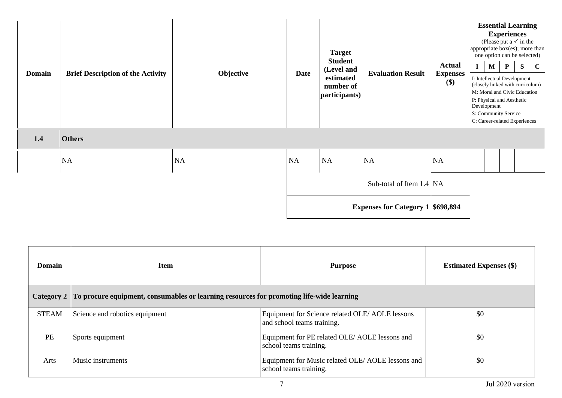| <b>Domain</b> | <b>Brief Description of the Activity</b> | Objective | <b>Date</b> | <b>Target</b><br><b>Student</b><br>(Level and<br>estimated<br>number of<br>participants) | <b>Evaluation Result</b>                 | <b>Actual</b><br><b>Expenses</b><br>$(\$)$ | $\mathbf{I}$<br>Development | $\mathbf{M}$ | <b>Essential Learning</b><br><b>Experiences</b><br>(Please put a $\checkmark$ in the<br>one option can be selected)<br>$\mathbf{P}$<br>I: Intellectual Development<br>(closely linked with curriculum)<br>M: Moral and Civic Education<br>P: Physical and Aesthetic<br>S: Community Service<br>C: Career-related Experiences | S | appropriate box(es); more than<br>$\mathbf C$ |
|---------------|------------------------------------------|-----------|-------------|------------------------------------------------------------------------------------------|------------------------------------------|--------------------------------------------|-----------------------------|--------------|------------------------------------------------------------------------------------------------------------------------------------------------------------------------------------------------------------------------------------------------------------------------------------------------------------------------------|---|-----------------------------------------------|
| 1.4           | <b>Others</b>                            |           |             |                                                                                          |                                          |                                            |                             |              |                                                                                                                                                                                                                                                                                                                              |   |                                               |
|               | NA                                       | NA        | <b>NA</b>   | NA                                                                                       | NA                                       | NA                                         |                             |              |                                                                                                                                                                                                                                                                                                                              |   |                                               |
|               |                                          |           |             |                                                                                          | Sub-total of Item $1.4$ NA               |                                            |                             |              |                                                                                                                                                                                                                                                                                                                              |   |                                               |
|               |                                          |           |             |                                                                                          | <b>Expenses for Category 1 \$698,894</b> |                                            |                             |              |                                                                                                                                                                                                                                                                                                                              |   |                                               |

| <b>Domain</b> | <b>Item</b>                                                                              | <b>Purpose</b>                                                                | <b>Estimated Expenses</b> (\$) |
|---------------|------------------------------------------------------------------------------------------|-------------------------------------------------------------------------------|--------------------------------|
| Category 2    | To procure equipment, consumables or learning resources for promoting life-wide learning |                                                                               |                                |
| <b>STEAM</b>  | Science and robotics equipment                                                           | Equipment for Science related OLE/ AOLE lessons<br>and school teams training. | \$0                            |
| <b>PE</b>     | Sports equipment                                                                         | Equipment for PE related OLE/ AOLE lessons and<br>school teams training.      | \$0                            |
| Arts          | Music instruments                                                                        | Equipment for Music related OLE/AOLE lessons and<br>school teams training.    | \$0                            |